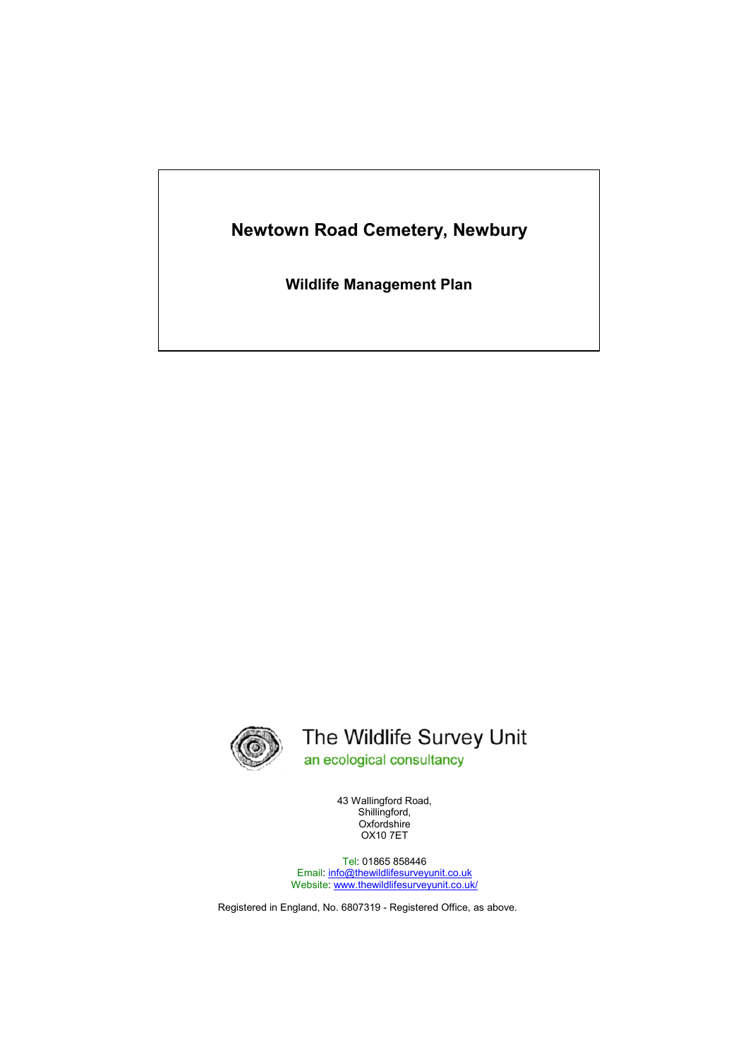# **Newtown Road Cemetery, Newbury**

**Wildlife Management Plan** 



# The Wildlife Survey Unit an ecological consultancy

43 Wallingford Road, Shillingford, Oxfordshire OX10 7ET

Tel: 01865 858446 Email: info@thewildlifesurveyunit.co.uk Website: www.thewildlifesurveyunit.co.uk/

Registered in England, No. 6807319 - Registered Office, as above.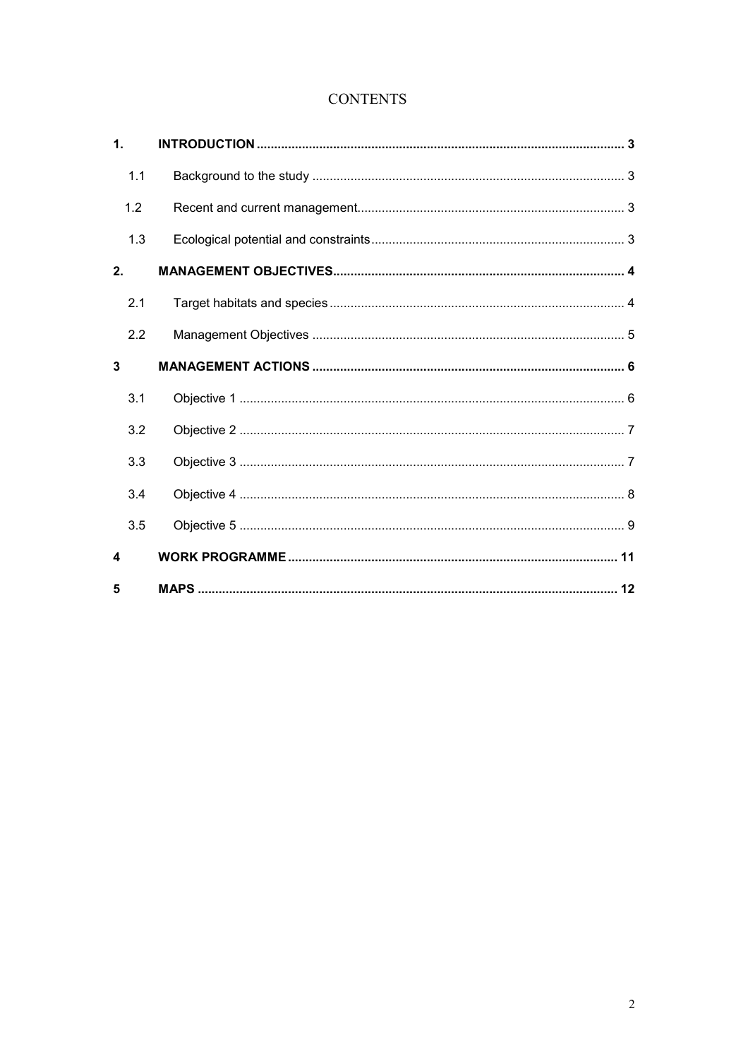## **CONTENTS**

| $\mathbf{1}$ . |  |
|----------------|--|
| 1.1            |  |
| 1.2            |  |
| 1.3            |  |
| 2.             |  |
| 2.1            |  |
| 2.2            |  |
| $\overline{3}$ |  |
| 3.1            |  |
| 3.2            |  |
| 3.3            |  |
| 3.4            |  |
| 3.5            |  |
| 4              |  |
| 5              |  |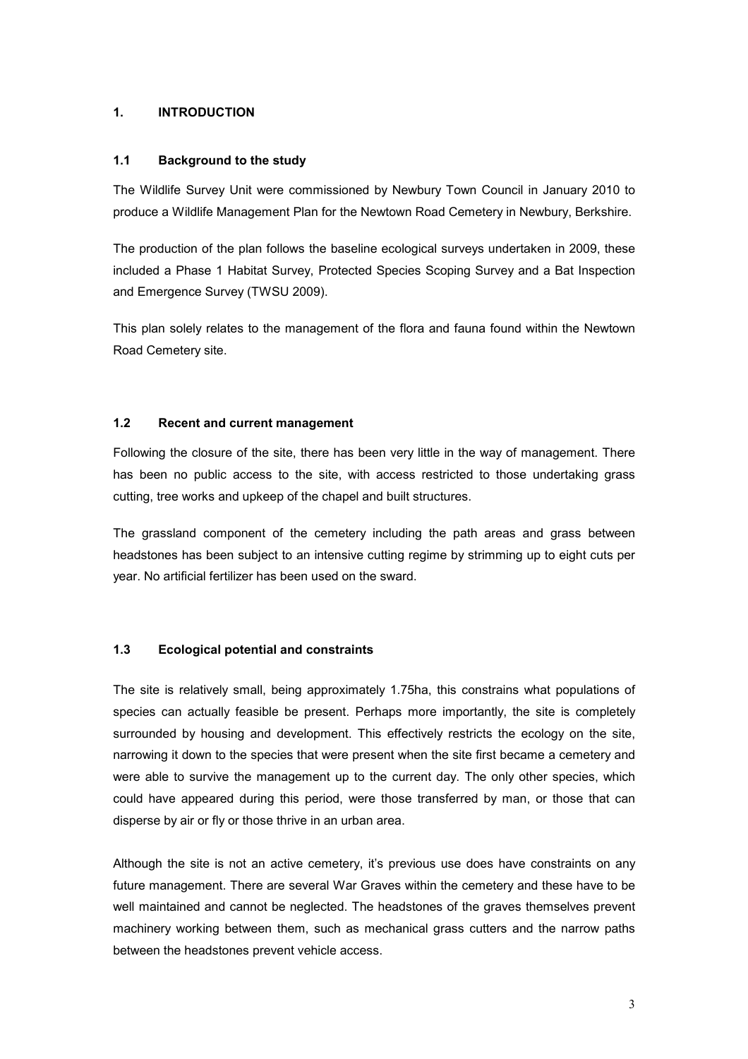#### **1. INTRODUCTION**

#### **1.1 Background to the study**

The Wildlife Survey Unit were commissioned by Newbury Town Council in January 2010 to produce a Wildlife Management Plan for the Newtown Road Cemetery in Newbury, Berkshire.

The production of the plan follows the baseline ecological surveys undertaken in 2009, these included a Phase 1 Habitat Survey, Protected Species Scoping Survey and a Bat Inspection and Emergence Survey (TWSU 2009).

This plan solely relates to the management of the flora and fauna found within the Newtown Road Cemetery site.

#### **1.2 Recent and current management**

Following the closure of the site, there has been very little in the way of management. There has been no public access to the site, with access restricted to those undertaking grass cutting, tree works and upkeep of the chapel and built structures.

The grassland component of the cemetery including the path areas and grass between headstones has been subject to an intensive cutting regime by strimming up to eight cuts per year. No artificial fertilizer has been used on the sward.

### **1.3 Ecological potential and constraints**

The site is relatively small, being approximately 1.75ha, this constrains what populations of species can actually feasible be present. Perhaps more importantly, the site is completely surrounded by housing and development. This effectively restricts the ecology on the site, narrowing it down to the species that were present when the site first became a cemetery and were able to survive the management up to the current day. The only other species, which could have appeared during this period, were those transferred by man, or those that can disperse by air or fly or those thrive in an urban area.

Although the site is not an active cemetery, it's previous use does have constraints on any future management. There are several War Graves within the cemetery and these have to be well maintained and cannot be neglected. The headstones of the graves themselves prevent machinery working between them, such as mechanical grass cutters and the narrow paths between the headstones prevent vehicle access.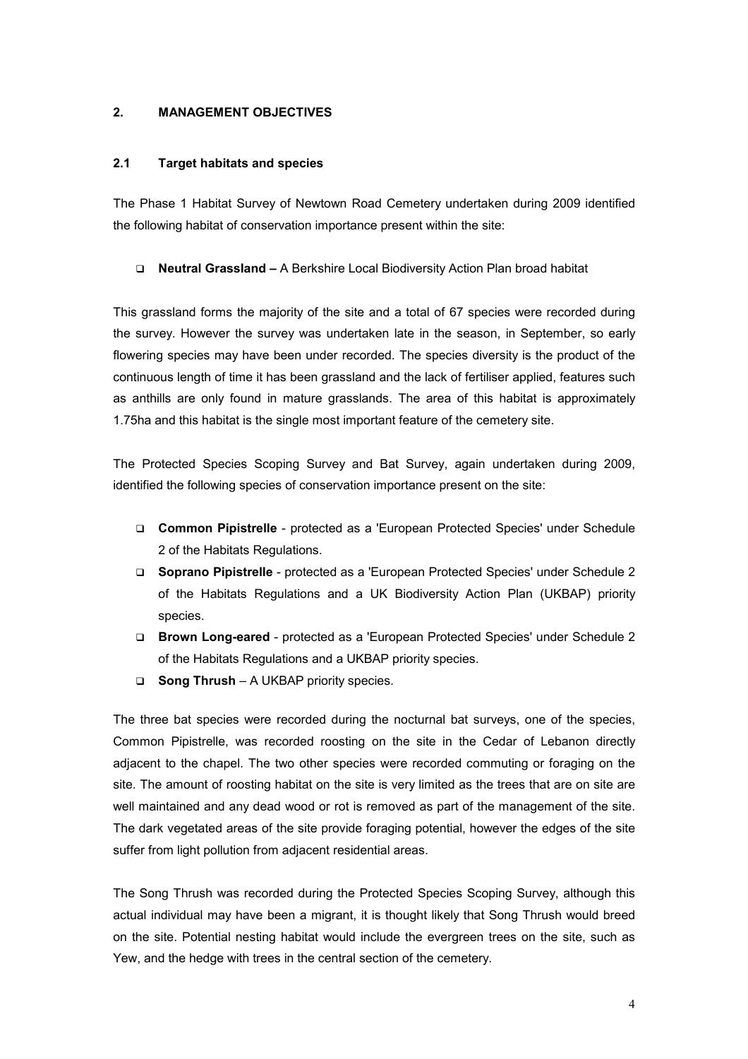#### **2. MANAGEMENT OBJECTIVES**

#### **2.1 Target habitats and species**

The Phase 1 Habitat Survey of Newtown Road Cemetery undertaken during 2009 identified the following habitat of conservation importance present within the site:

#### **Neutral Grassland –** A Berkshire Local Biodiversity Action Plan broad habitat

This grassland forms the majority of the site and a total of 67 species were recorded during the survey. However the survey was undertaken late in the season, in September, so early flowering species may have been under recorded. The species diversity is the product of the continuous length of time it has been grassland and the lack of fertiliser applied, features such as anthills are only found in mature grasslands. The area of this habitat is approximately 1.75ha and this habitat is the single most important feature of the cemetery site.

The Protected Species Scoping Survey and Bat Survey, again undertaken during 2009, identified the following species of conservation importance present on the site:

- **Common Pipistrelle** protected as a 'European Protected Species' under Schedule 2 of the Habitats Regulations.
- **Soprano Pipistrelle** protected as a 'European Protected Species' under Schedule 2 of the Habitats Regulations and a UK Biodiversity Action Plan (UKBAP) priority species.
- **Brown Long-eared** protected as a 'European Protected Species' under Schedule 2 of the Habitats Regulations and a UKBAP priority species.
- **Song Thrush** A UKBAP priority species.

The three bat species were recorded during the nocturnal bat surveys, one of the species, Common Pipistrelle, was recorded roosting on the site in the Cedar of Lebanon directly adjacent to the chapel. The two other species were recorded commuting or foraging on the site. The amount of roosting habitat on the site is very limited as the trees that are on site are well maintained and any dead wood or rot is removed as part of the management of the site. The dark vegetated areas of the site provide foraging potential, however the edges of the site suffer from light pollution from adjacent residential areas.

The Song Thrush was recorded during the Protected Species Scoping Survey, although this actual individual may have been a migrant, it is thought likely that Song Thrush would breed on the site. Potential nesting habitat would include the evergreen trees on the site, such as Yew, and the hedge with trees in the central section of the cemetery.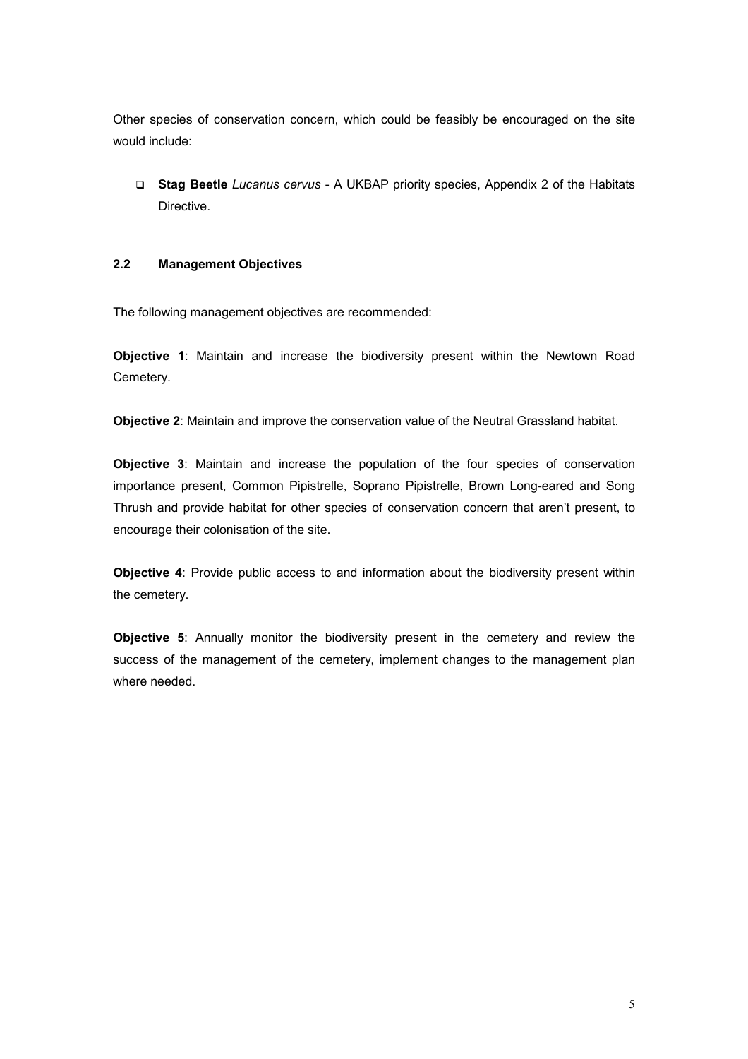Other species of conservation concern, which could be feasibly be encouraged on the site would include:

 **Stag Beetle** *Lucanus cervus* - A UKBAP priority species, Appendix 2 of the Habitats **Directive** 

#### **2.2 Management Objectives**

The following management objectives are recommended:

**Objective 1**: Maintain and increase the biodiversity present within the Newtown Road Cemetery.

**Objective 2**: Maintain and improve the conservation value of the Neutral Grassland habitat.

**Objective 3**: Maintain and increase the population of the four species of conservation importance present, Common Pipistrelle, Soprano Pipistrelle, Brown Long-eared and Song Thrush and provide habitat for other species of conservation concern that aren't present, to encourage their colonisation of the site.

**Objective 4**: Provide public access to and information about the biodiversity present within the cemetery.

**Objective 5**: Annually monitor the biodiversity present in the cemetery and review the success of the management of the cemetery, implement changes to the management plan where needed.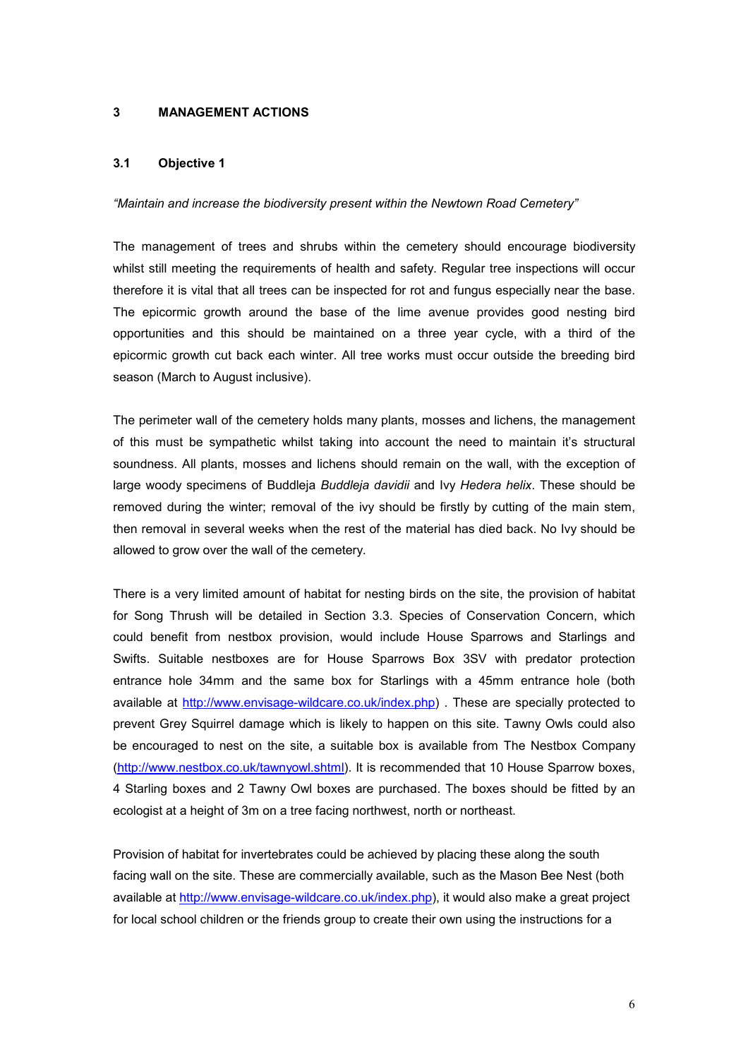#### **3 MANAGEMENT ACTIONS**

#### **3.1 Objective 1**

#### *"Maintain and increase the biodiversity present within the Newtown Road Cemetery"*

The management of trees and shrubs within the cemetery should encourage biodiversity whilst still meeting the requirements of health and safety. Regular tree inspections will occur therefore it is vital that all trees can be inspected for rot and fungus especially near the base. The epicormic growth around the base of the lime avenue provides good nesting bird opportunities and this should be maintained on a three year cycle, with a third of the epicormic growth cut back each winter. All tree works must occur outside the breeding bird season (March to August inclusive).

The perimeter wall of the cemetery holds many plants, mosses and lichens, the management of this must be sympathetic whilst taking into account the need to maintain it's structural soundness. All plants, mosses and lichens should remain on the wall, with the exception of large woody specimens of Buddleja *Buddleja davidii* and Ivy *Hedera helix*. These should be removed during the winter; removal of the ivy should be firstly by cutting of the main stem, then removal in several weeks when the rest of the material has died back. No Ivy should be allowed to grow over the wall of the cemetery.

There is a very limited amount of habitat for nesting birds on the site, the provision of habitat for Song Thrush will be detailed in Section 3.3. Species of Conservation Concern, which could benefit from nestbox provision, would include House Sparrows and Starlings and Swifts. Suitable nestboxes are for House Sparrows Box 3SV with predator protection entrance hole 34mm and the same box for Starlings with a 45mm entrance hole (both available at http://www.envisage-wildcare.co.uk/index.php) . These are specially protected to prevent Grey Squirrel damage which is likely to happen on this site. Tawny Owls could also be encouraged to nest on the site, a suitable box is available from The Nestbox Company (http://www.nestbox.co.uk/tawnyowl.shtml). It is recommended that 10 House Sparrow boxes, 4 Starling boxes and 2 Tawny Owl boxes are purchased. The boxes should be fitted by an ecologist at a height of 3m on a tree facing northwest, north or northeast.

Provision of habitat for invertebrates could be achieved by placing these along the south facing wall on the site. These are commercially available, such as the Mason Bee Nest (both available at http://www.envisage-wildcare.co.uk/index.php), it would also make a great project for local school children or the friends group to create their own using the instructions for a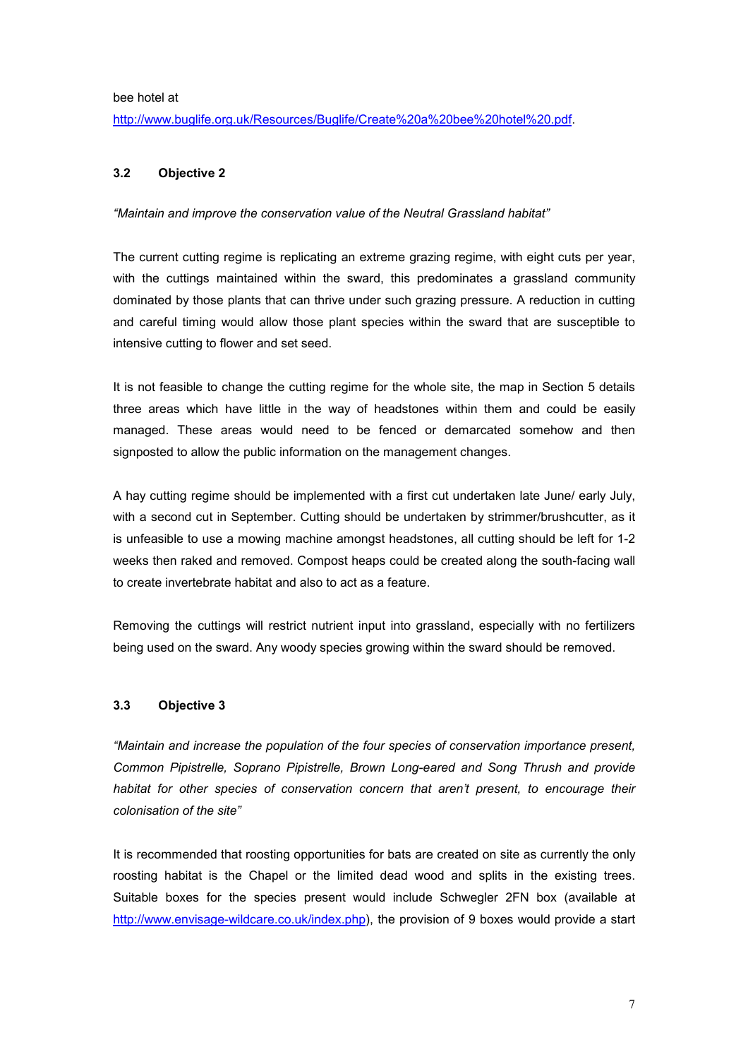bee hotel at

http://www.buglife.org.uk/Resources/Buglife/Create%20a%20bee%20hotel%20.pdf.

#### **3.2 Objective 2**

*"Maintain and improve the conservation value of the Neutral Grassland habitat"* 

The current cutting regime is replicating an extreme grazing regime, with eight cuts per year, with the cuttings maintained within the sward, this predominates a grassland community dominated by those plants that can thrive under such grazing pressure. A reduction in cutting and careful timing would allow those plant species within the sward that are susceptible to intensive cutting to flower and set seed.

It is not feasible to change the cutting regime for the whole site, the map in Section 5 details three areas which have little in the way of headstones within them and could be easily managed. These areas would need to be fenced or demarcated somehow and then signposted to allow the public information on the management changes.

A hay cutting regime should be implemented with a first cut undertaken late June/ early July, with a second cut in September. Cutting should be undertaken by strimmer/brushcutter, as it is unfeasible to use a mowing machine amongst headstones, all cutting should be left for 1-2 weeks then raked and removed. Compost heaps could be created along the south-facing wall to create invertebrate habitat and also to act as a feature.

Removing the cuttings will restrict nutrient input into grassland, especially with no fertilizers being used on the sward. Any woody species growing within the sward should be removed.

#### **3.3 Objective 3**

*"Maintain and increase the population of the four species of conservation importance present, Common Pipistrelle, Soprano Pipistrelle, Brown Long-eared and Song Thrush and provide*  habitat for other species of conservation concern that aren't present, to encourage their *colonisation of the site"* 

It is recommended that roosting opportunities for bats are created on site as currently the only roosting habitat is the Chapel or the limited dead wood and splits in the existing trees. Suitable boxes for the species present would include Schwegler 2FN box (available at http://www.envisage-wildcare.co.uk/index.php), the provision of 9 boxes would provide a start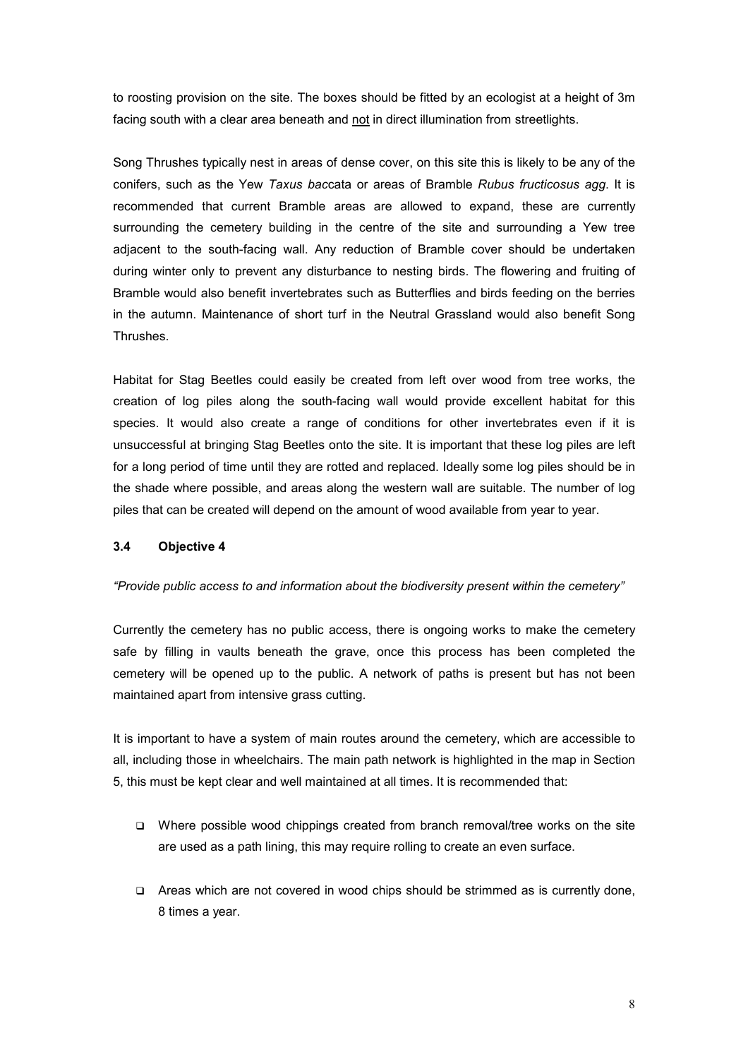to roosting provision on the site. The boxes should be fitted by an ecologist at a height of 3m facing south with a clear area beneath and not in direct illumination from streetlights.

Song Thrushes typically nest in areas of dense cover, on this site this is likely to be any of the conifers, such as the Yew *Taxus bac*cata or areas of Bramble *Rubus fructicosus agg*. It is recommended that current Bramble areas are allowed to expand, these are currently surrounding the cemetery building in the centre of the site and surrounding a Yew tree adjacent to the south-facing wall. Any reduction of Bramble cover should be undertaken during winter only to prevent any disturbance to nesting birds. The flowering and fruiting of Bramble would also benefit invertebrates such as Butterflies and birds feeding on the berries in the autumn. Maintenance of short turf in the Neutral Grassland would also benefit Song Thrushes.

Habitat for Stag Beetles could easily be created from left over wood from tree works, the creation of log piles along the south-facing wall would provide excellent habitat for this species. It would also create a range of conditions for other invertebrates even if it is unsuccessful at bringing Stag Beetles onto the site. It is important that these log piles are left for a long period of time until they are rotted and replaced. Ideally some log piles should be in the shade where possible, and areas along the western wall are suitable. The number of log piles that can be created will depend on the amount of wood available from year to year.

#### **3.4 Objective 4**

#### *"Provide public access to and information about the biodiversity present within the cemetery"*

Currently the cemetery has no public access, there is ongoing works to make the cemetery safe by filling in vaults beneath the grave, once this process has been completed the cemetery will be opened up to the public. A network of paths is present but has not been maintained apart from intensive grass cutting.

It is important to have a system of main routes around the cemetery, which are accessible to all, including those in wheelchairs. The main path network is highlighted in the map in Section 5, this must be kept clear and well maintained at all times. It is recommended that:

- $\Box$  Where possible wood chippings created from branch removal/tree works on the site are used as a path lining, this may require rolling to create an even surface.
- Areas which are not covered in wood chips should be strimmed as is currently done, 8 times a year.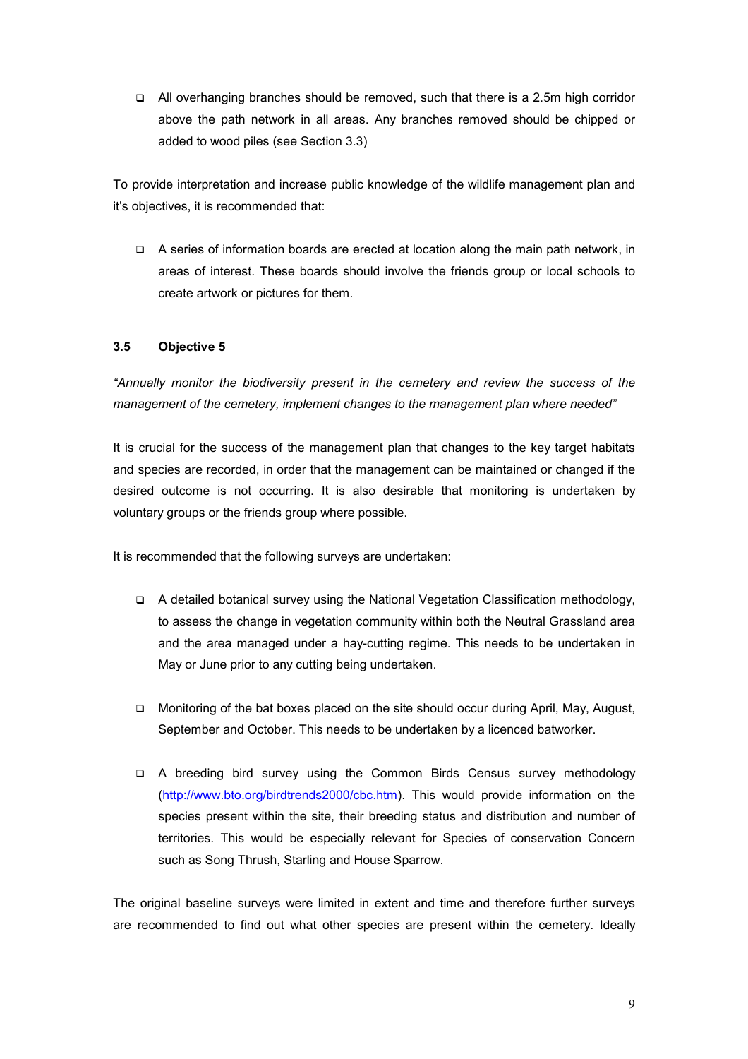□ All overhanging branches should be removed, such that there is a 2.5m high corridor above the path network in all areas. Any branches removed should be chipped or added to wood piles (see Section 3.3)

To provide interpretation and increase public knowledge of the wildlife management plan and it's objectives, it is recommended that:

 $\Box$  A series of information boards are erected at location along the main path network, in areas of interest. These boards should involve the friends group or local schools to create artwork or pictures for them.

#### **3.5 Objective 5**

*"Annually monitor the biodiversity present in the cemetery and review the success of the management of the cemetery, implement changes to the management plan where needed"* 

It is crucial for the success of the management plan that changes to the key target habitats and species are recorded, in order that the management can be maintained or changed if the desired outcome is not occurring. It is also desirable that monitoring is undertaken by voluntary groups or the friends group where possible.

It is recommended that the following surveys are undertaken:

- $\Box$  A detailed botanical survey using the National Vegetation Classification methodology, to assess the change in vegetation community within both the Neutral Grassland area and the area managed under a hay-cutting regime. This needs to be undertaken in May or June prior to any cutting being undertaken.
- Monitoring of the bat boxes placed on the site should occur during April, May, August, September and October. This needs to be undertaken by a licenced batworker.
- A breeding bird survey using the Common Birds Census survey methodology (http://www.bto.org/birdtrends2000/cbc.htm). This would provide information on the species present within the site, their breeding status and distribution and number of territories. This would be especially relevant for Species of conservation Concern such as Song Thrush, Starling and House Sparrow.

The original baseline surveys were limited in extent and time and therefore further surveys are recommended to find out what other species are present within the cemetery. Ideally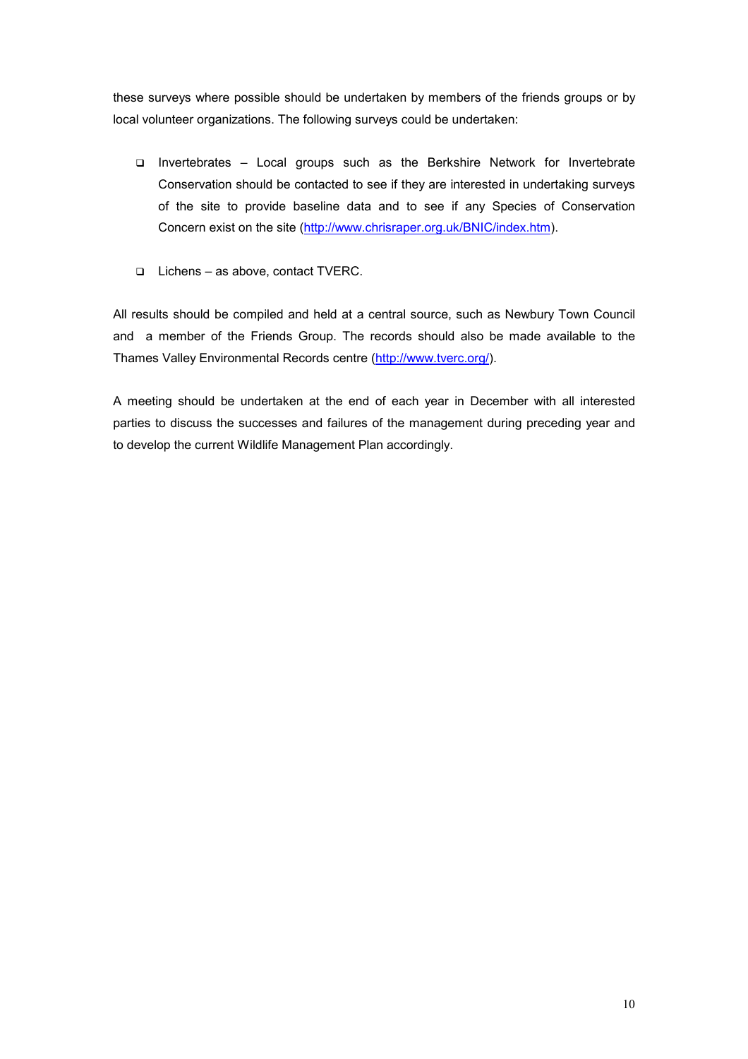these surveys where possible should be undertaken by members of the friends groups or by local volunteer organizations. The following surveys could be undertaken:

- Invertebrates Local groups such as the Berkshire Network for Invertebrate Conservation should be contacted to see if they are interested in undertaking surveys of the site to provide baseline data and to see if any Species of Conservation Concern exist on the site (http://www.chrisraper.org.uk/BNIC/index.htm).
- Lichens as above, contact TVERC.

All results should be compiled and held at a central source, such as Newbury Town Council and a member of the Friends Group. The records should also be made available to the Thames Valley Environmental Records centre (http://www.tverc.org/).

A meeting should be undertaken at the end of each year in December with all interested parties to discuss the successes and failures of the management during preceding year and to develop the current Wildlife Management Plan accordingly.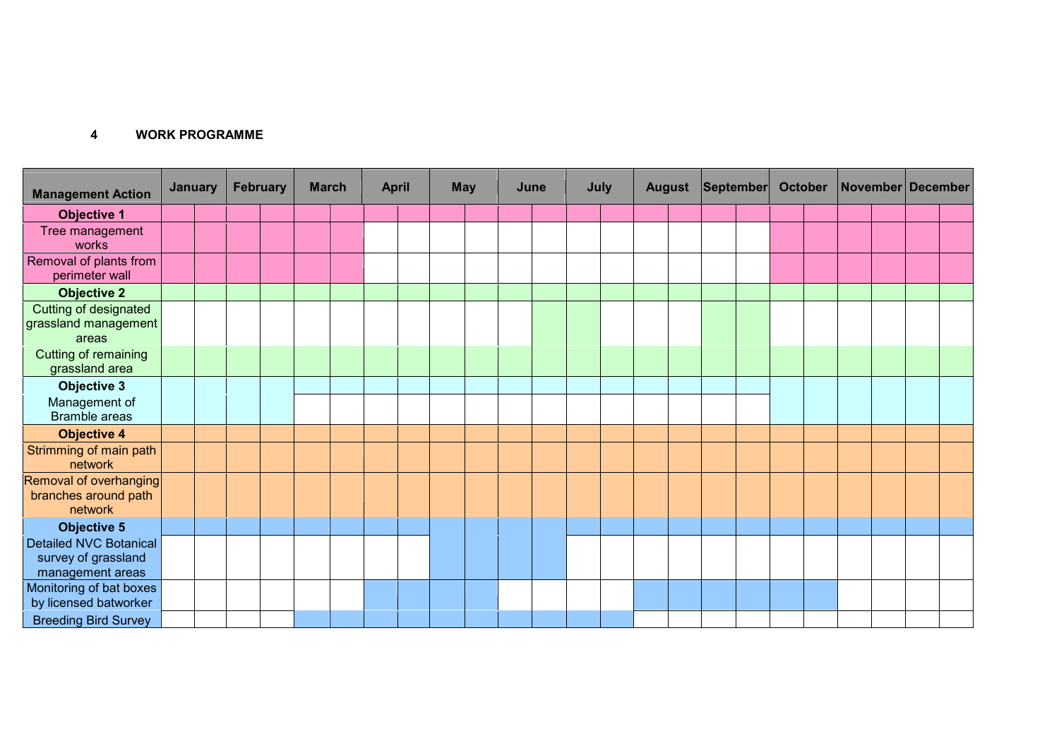#### **4WORKPROGRAMME**

| <b>Management Action</b>                                                 | <b>January</b> |  | February |  | <b>March</b> |  | <b>April</b> |  | <b>May</b> |  | June |  | July |  | <b>August</b> |  | <b>September</b> |  | <b>October</b> |  | November December |  |  |  |
|--------------------------------------------------------------------------|----------------|--|----------|--|--------------|--|--------------|--|------------|--|------|--|------|--|---------------|--|------------------|--|----------------|--|-------------------|--|--|--|
| <b>Objective 1</b>                                                       |                |  |          |  |              |  |              |  |            |  |      |  |      |  |               |  |                  |  |                |  |                   |  |  |  |
| Tree management<br>works                                                 |                |  |          |  |              |  |              |  |            |  |      |  |      |  |               |  |                  |  |                |  |                   |  |  |  |
| Removal of plants from<br>perimeter wall                                 |                |  |          |  |              |  |              |  |            |  |      |  |      |  |               |  |                  |  |                |  |                   |  |  |  |
| <b>Objective 2</b>                                                       |                |  |          |  |              |  |              |  |            |  |      |  |      |  |               |  |                  |  |                |  |                   |  |  |  |
| Cutting of designated<br>grassland management<br>areas                   |                |  |          |  |              |  |              |  |            |  |      |  |      |  |               |  |                  |  |                |  |                   |  |  |  |
| <b>Cutting of remaining</b><br>grassland area                            |                |  |          |  |              |  |              |  |            |  |      |  |      |  |               |  |                  |  |                |  |                   |  |  |  |
| <b>Objective 3</b>                                                       |                |  |          |  |              |  |              |  |            |  |      |  |      |  |               |  |                  |  |                |  |                   |  |  |  |
| Management of<br><b>Bramble areas</b>                                    |                |  |          |  |              |  |              |  |            |  |      |  |      |  |               |  |                  |  |                |  |                   |  |  |  |
| <b>Objective 4</b>                                                       |                |  |          |  |              |  |              |  |            |  |      |  |      |  |               |  |                  |  |                |  |                   |  |  |  |
| Strimming of main path<br>network                                        |                |  |          |  |              |  |              |  |            |  |      |  |      |  |               |  |                  |  |                |  |                   |  |  |  |
| Removal of overhanging<br>branches around path<br>network                |                |  |          |  |              |  |              |  |            |  |      |  |      |  |               |  |                  |  |                |  |                   |  |  |  |
| <b>Objective 5</b>                                                       |                |  |          |  |              |  |              |  |            |  |      |  |      |  |               |  |                  |  |                |  |                   |  |  |  |
| <b>Detailed NVC Botanical</b><br>survey of grassland<br>management areas |                |  |          |  |              |  |              |  |            |  |      |  |      |  |               |  |                  |  |                |  |                   |  |  |  |
| Monitoring of bat boxes<br>by licensed batworker                         |                |  |          |  |              |  |              |  |            |  |      |  |      |  |               |  |                  |  |                |  |                   |  |  |  |
| <b>Breeding Bird Survey</b>                                              |                |  |          |  |              |  |              |  |            |  |      |  |      |  |               |  |                  |  |                |  |                   |  |  |  |